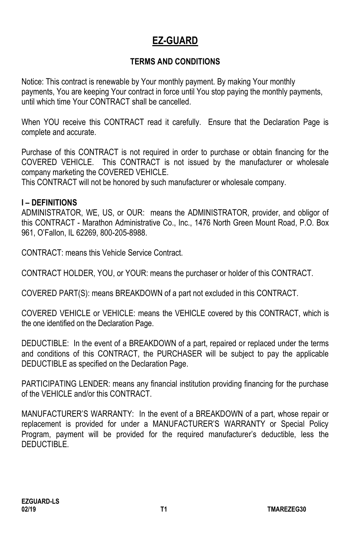# **EZ-GUARD**

### **TERMS AND CONDITIONS**

Notice: This contract is renewable by Your monthly payment. By making Your monthly payments, You are keeping Your contract in force until You stop paying the monthly payments, until which time Your CONTRACT shall be cancelled.

When YOU receive this CONTRACT read it carefully. Ensure that the Declaration Page is complete and accurate.

Purchase of this CONTRACT is not required in order to purchase or obtain financing for the COVERED VEHICLE. This CONTRACT is not issued by the manufacturer or wholesale company marketing the COVERED VEHICLE.

This CONTRACT will not be honored by such manufacturer or wholesale company.

#### **I – DEFINITIONS**

ADMINISTRATOR, WE, US, or OUR: means the ADMINISTRATOR, provider, and obligor of this CONTRACT - Marathon Administrative Co., Inc., 1476 North Green Mount Road, P.O. Box 961, O'Fallon, IL 62269, 800-205-8988.

CONTRACT: means this Vehicle Service Contract.

CONTRACT HOLDER, YOU, or YOUR: means the purchaser or holder of this CONTRACT.

COVERED PART(S): means BREAKDOWN of a part not excluded in this CONTRACT.

COVERED VEHICLE or VEHICLE: means the VEHICLE covered by this CONTRACT, which is the one identified on the Declaration Page.

DEDUCTIBLE: In the event of a BREAKDOWN of a part, repaired or replaced under the terms and conditions of this CONTRACT, the PURCHASER will be subject to pay the applicable DEDUCTIBLE as specified on the Declaration Page.

PARTICIPATING LENDER: means any financial institution providing financing for the purchase of the VEHICLE and/or this CONTRACT.

MANUFACTURER'S WARRANTY: In the event of a BREAKDOWN of a part, whose repair or replacement is provided for under a MANUFACTURER'S WARRANTY or Special Policy Program, payment will be provided for the required manufacturer's deductible, less the DEDUCTIBLE.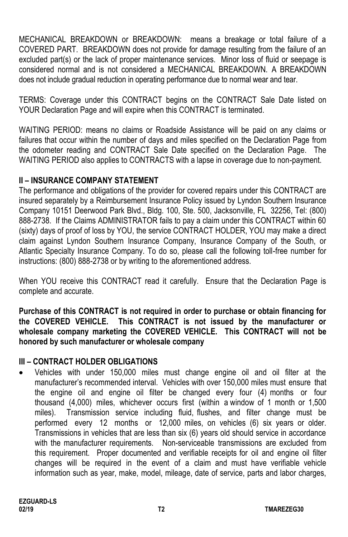MECHANICAL BREAKDOWN or BREAKDOWN: means a breakage or total failure of a COVERED PART. BREAKDOWN does not provide for damage resulting from the failure of an excluded part(s) or the lack of proper maintenance services. Minor loss of fluid or seepage is considered normal and is not considered a MECHANICAL BREAKDOWN. A BREAKDOWN does not include gradual reduction in operating performance due to normal wear and tear.

TERMS: Coverage under this CONTRACT begins on the CONTRACT Sale Date listed on YOUR Declaration Page and will expire when this CONTRACT is terminated.

WAITING PERIOD: means no claims or Roadside Assistance will be paid on any claims or failures that occur within the number of days and miles specified on the Declaration Page from the odometer reading and CONTRACT Sale Date specified on the Declaration Page. The WAITING PERIOD also applies to CONTRACTS with a lapse in coverage due to non-payment.

### **II – INSURANCE COMPANY STATEMENT**

The performance and obligations of the provider for covered repairs under this CONTRACT are insured separately by a Reimbursement Insurance Policy issued by Lyndon Southern Insurance Company 10151 Deerwood Park Blvd., Bldg. 100, Ste. 500, Jacksonville, FL 32256, Tel: (800) 888-2738. If the Claims ADMINISTRATOR fails to pay a claim under this CONTRACT within 60 (sixty) days of proof of loss by YOU, the service CONTRACT HOLDER, YOU may make a direct claim against Lyndon Southern Insurance Company, Insurance Company of the South, or Atlantic Specialty Insurance Company. To do so, please call the following toll-free number for instructions: (800) 888-2738 or by writing to the aforementioned address.

When YOU receive this CONTRACT read it carefully. Ensure that the Declaration Page is complete and accurate.

**Purchase of this CONTRACT is not required in order to purchase or obtain financing for the COVERED VEHICLE. This CONTRACT is not issued by the manufacturer or wholesale company marketing the COVERED VEHICLE. This CONTRACT will not be honored by such manufacturer or wholesale company**

# **III – CONTRACT HOLDER OBLIGATIONS**

• Vehicles with under 150,000 miles must change engine oil and oil filter at the manufacturer's recommended interval. Vehicles with over 150,000 miles must ensure that the engine oil and engine oil filter be changed every four (4) months or four thousand (4,000) miles, whichever occurs first (within a window of 1 month or 1,500 miles). Transmission service including fluid, flushes, and filter change must be performed every 12 months or 12,000 miles, on vehicles (6) six years or older. Transmissions in vehicles that are less than six (6) years old should service in accordance with the manufacturer requirements. Non-serviceable transmissions are excluded from this requirement. Proper documented and verifiable receipts for oil and engine oil filter changes will be required in the event of a claim and must have verifiable vehicle information such as year, make, model, mileage, date of service, parts and labor charges,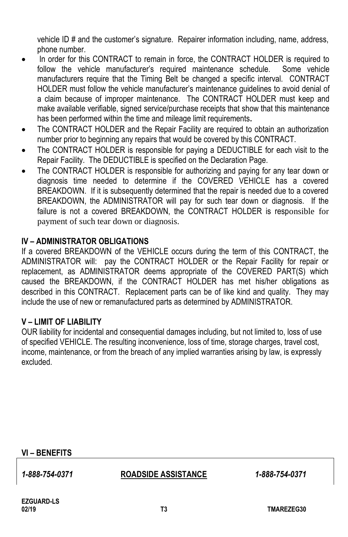vehicle ID # and the customer's signature. Repairer information including, name, address, phone number.

- In order for this CONTRACT to remain in force, the CONTRACT HOLDER is required to follow the vehicle manufacturer's required maintenance schedule. Some vehicle manufacturers require that the Timing Belt be changed a specific interval. CONTRACT HOLDER must follow the vehicle manufacturer's maintenance guidelines to avoid denial of a claim because of improper maintenance. The CONTRACT HOLDER must keep and make available verifiable, signed service/purchase receipts that show that this maintenance has been performed within the time and mileage limit requirements**.**
- The CONTRACT HOLDER and the Repair Facility are required to obtain an authorization number prior to beginning any repairs that would be covered by this CONTRACT.
- The CONTRACT HOLDER is responsible for paying a DEDUCTIBLE for each visit to the Repair Facility. The DEDUCTIBLE is specified on the Declaration Page.
- The CONTRACT HOLDER is responsible for authorizing and paying for any tear down or diagnosis time needed to determine if the COVERED VEHICLE has a covered BREAKDOWN. If it is subsequently determined that the repair is needed due to a covered BREAKDOWN, the ADMINISTRATOR will pay for such tear down or diagnosis. If the failure is not a covered BREAKDOWN, the CONTRACT HOLDER is responsible for payment of such tear down or diagnosis.

#### **IV – ADMINISTRATOR OBLIGATIONS**

If a covered BREAKDOWN of the VEHICLE occurs during the term of this CONTRACT, the ADMINISTRATOR will: pay the CONTRACT HOLDER or the Repair Facility for repair or replacement, as ADMINISTRATOR deems appropriate of the COVERED PART(S) which caused the BREAKDOWN, if the CONTRACT HOLDER has met his/her obligations as described in this CONTRACT. Replacement parts can be of like kind and quality. They may include the use of new or remanufactured parts as determined by ADMINISTRATOR.

#### **V – LIMIT OF LIABILITY**

OUR liability for incidental and consequential damages including, but not limited to, loss of use of specified VEHICLE. The resulting inconvenience, loss of time, storage charges, travel cost, income, maintenance, or from the breach of any implied warranties arising by law, is expressly excluded.

#### **VI – BENEFITS**

#### *1-888-754-0371* **ROADSIDE ASSISTANCE** *1-888-754-0371*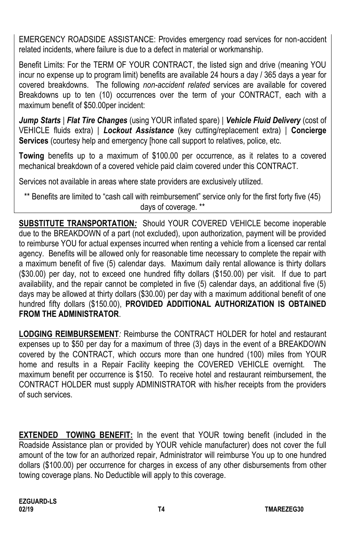EMERGENCY ROADSIDE ASSISTANCE: Provides emergency road services for non-accident related incidents, where failure is due to a defect in material or workmanship.

Benefit Limits: For the TERM OF YOUR CONTRACT, the listed sign and drive (meaning YOU incur no expense up to program limit) benefits are available 24 hours a day / 365 days a year for covered breakdowns. The following *non-accident related* services are available for covered Breakdowns up to ten (10) occurrences over the term of your CONTRACT, each with a maximum benefit of \$50.00per incident:

*Jump Starts* | *Flat Tire Changes* (using YOUR inflated spare) | *Vehicle Fluid Delivery* (cost of VEHICLE fluids extra) | *Lockout Assistance* (key cutting/replacement extra) | **Concierge Services** (courtesy help and emergency [hone call support to relatives, police, etc.

**Towing** benefits up to a maximum of \$100.00 per occurrence, as it relates to a covered mechanical breakdown of a covered vehicle paid claim covered under this CONTRACT.

Services not available in areas where state providers are exclusively utilized.

\*\* Benefits are limited to "cash call with reimbursement" service only for the first forty five (45) days of coverage. \*\*

**SUBSTITUTE TRANSPORTATION***:* Should YOUR COVERED VEHICLE become inoperable due to the BREAKDOWN of a part (not excluded), upon authorization, payment will be provided to reimburse YOU for actual expenses incurred when renting a vehicle from a licensed car rental agency. Benefits will be allowed only for reasonable time necessary to complete the repair with a maximum benefit of five (5) calendar days. Maximum daily rental allowance is thirty dollars (\$30.00) per day, not to exceed one hundred fifty dollars (\$150.00) per visit. If due to part availability, and the repair cannot be completed in five (5) calendar days, an additional five (5) days may be allowed at thirty dollars (\$30.00) per day with a maximum additional benefit of one hundred fifty dollars (\$150.00), **PROVIDED ADDITIONAL AUTHORIZATION IS OBTAINED FROM THE ADMINISTRATOR**.

**LODGING REIMBURSEMENT***:* Reimburse the CONTRACT HOLDER for hotel and restaurant expenses up to \$50 per day for a maximum of three (3) days in the event of a BREAKDOWN covered by the CONTRACT, which occurs more than one hundred (100) miles from YOUR home and results in a Repair Facility keeping the COVERED VEHICLE overnight. The maximum benefit per occurrence is \$150. To receive hotel and restaurant reimbursement, the CONTRACT HOLDER must supply ADMINISTRATOR with his/her receipts from the providers of such services.

**EXTENDED TOWING BENEFIT:** In the event that YOUR towing benefit (included in the Roadside Assistance plan or provided by YOUR vehicle manufacturer) does not cover the full amount of the tow for an authorized repair, Administrator will reimburse You up to one hundred dollars (\$100.00) per occurrence for charges in excess of any other disbursements from other towing coverage plans. No Deductible will apply to this coverage.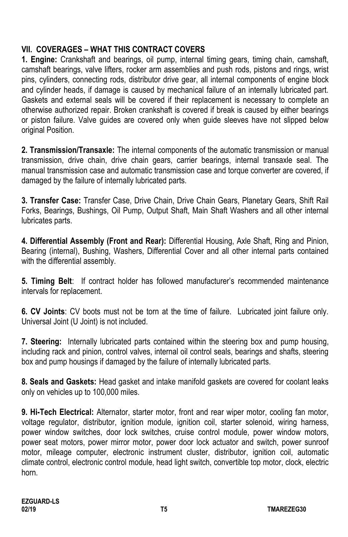# **VII. COVERAGES – WHAT THIS CONTRACT COVERS**

**1. Engine:** Crankshaft and bearings, oil pump, internal timing gears, timing chain, camshaft, camshaft bearings, valve lifters, rocker arm assemblies and push rods, pistons and rings, wrist pins, cylinders, connecting rods, distributor drive gear, all internal components of engine block and cylinder heads, if damage is caused by mechanical failure of an internally lubricated part. Gaskets and external seals will be covered if their replacement is necessary to complete an otherwise authorized repair. Broken crankshaft is covered if break is caused by either bearings or piston failure. Valve guides are covered only when guide sleeves have not slipped below original Position.

**2. Transmission/Transaxle:** The internal components of the automatic transmission or manual transmission, drive chain, drive chain gears, carrier bearings, internal transaxle seal. The manual transmission case and automatic transmission case and torque converter are covered, if damaged by the failure of internally lubricated parts.

**3. Transfer Case:** Transfer Case, Drive Chain, Drive Chain Gears, Planetary Gears, Shift Rail Forks, Bearings, Bushings, Oil Pump, Output Shaft, Main Shaft Washers and all other internal lubricates parts.

**4. Differential Assembly (Front and Rear):** Differential Housing, Axle Shaft, Ring and Pinion, Bearing (internal), Bushing, Washers, Differential Cover and all other internal parts contained with the differential assembly.

**5. Timing Belt**: If contract holder has followed manufacturer's recommended maintenance intervals for replacement.

**6. CV Joints**: CV boots must not be torn at the time of failure. Lubricated joint failure only. Universal Joint (U Joint) is not included.

**7. Steering:** Internally lubricated parts contained within the steering box and pump housing, including rack and pinion, control valves, internal oil control seals, bearings and shafts, steering box and pump housings if damaged by the failure of internally lubricated parts.

**8. Seals and Gaskets:** Head gasket and intake manifold gaskets are covered for coolant leaks only on vehicles up to 100,000 miles.

**9. Hi-Tech Electrical:** Alternator, starter motor, front and rear wiper motor, cooling fan motor, voltage regulator, distributor, ignition module, ignition coil, starter solenoid, wiring harness, power window switches, door lock switches, cruise control module, power window motors, power seat motors, power mirror motor, power door lock actuator and switch, power sunroof motor, mileage computer, electronic instrument cluster, distributor, ignition coil, automatic climate control, electronic control module, head light switch, convertible top motor, clock, electric horn.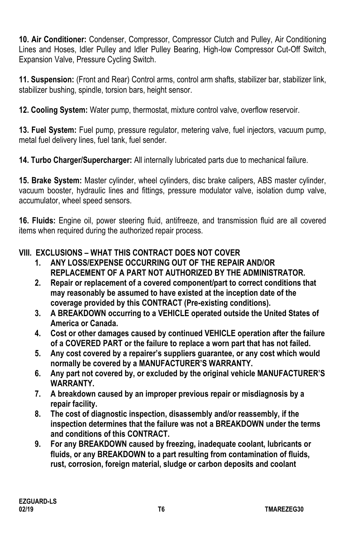**10. Air Conditioner:** Condenser, Compressor, Compressor Clutch and Pulley, Air Conditioning Lines and Hoses, Idler Pulley and Idler Pulley Bearing, High-low Compressor Cut-Off Switch, Expansion Valve, Pressure Cycling Switch.

**11. Suspension:** (Front and Rear) Control arms, control arm shafts, stabilizer bar, stabilizer link, stabilizer bushing, spindle, torsion bars, height sensor.

**12. Cooling System:** Water pump, thermostat, mixture control valve, overflow reservoir.

**13. Fuel System:** Fuel pump, pressure regulator, metering valve, fuel injectors, vacuum pump, metal fuel delivery lines, fuel tank, fuel sender.

**14. Turbo Charger/Supercharger:** All internally lubricated parts due to mechanical failure.

**15. Brake System:** Master cylinder, wheel cylinders, disc brake calipers, ABS master cylinder, vacuum booster, hydraulic lines and fittings, pressure modulator valve, isolation dump valve, accumulator, wheel speed sensors.

**16. Fluids:** Engine oil, power steering fluid, antifreeze, and transmission fluid are all covered items when required during the authorized repair process.

# **VIII. EXCLUSIONS – WHAT THIS CONTRACT DOES NOT COVER**

- **1. ANY LOSS/EXPENSE OCCURRING OUT OF THE REPAIR AND/OR REPLACEMENT OF A PART NOT AUTHORIZED BY THE ADMINISTRATOR.**
- **2. Repair or replacement of a covered component/part to correct conditions that may reasonably be assumed to have existed at the inception date of the coverage provided by this CONTRACT (Pre-existing conditions).**
- **3. A BREAKDOWN occurring to a VEHICLE operated outside the United States of America or Canada.**
- **4. Cost or other damages caused by continued VEHICLE operation after the failure of a COVERED PART or the failure to replace a worn part that has not failed.**
- **5. Any cost covered by a repairer's suppliers guarantee, or any cost which would normally be covered by a MANUFACTURER'S WARRANTY.**
- **6. Any part not covered by, or excluded by the original vehicle MANUFACTURER'S WARRANTY.**
- **7. A breakdown caused by an improper previous repair or misdiagnosis by a repair facility.**
- **8. The cost of diagnostic inspection, disassembly and/or reassembly, if the inspection determines that the failure was not a BREAKDOWN under the terms and conditions of this CONTRACT.**
- **9. For any BREAKDOWN caused by freezing, inadequate coolant, lubricants or fluids, or any BREAKDOWN to a part resulting from contamination of fluids, rust, corrosion, foreign material, sludge or carbon deposits and coolant**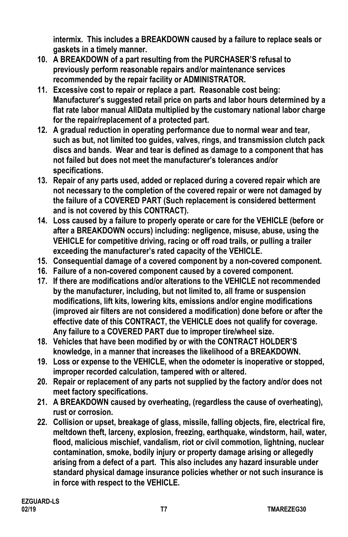**intermix. This includes a BREAKDOWN caused by a failure to replace seals or gaskets in a timely manner.**

- **10. A BREAKDOWN of a part resulting from the PURCHASER'S refusal to previously perform reasonable repairs and/or maintenance services recommended by the repair facility or ADMINISTRATOR.**
- **11. Excessive cost to repair or replace a part. Reasonable cost being: Manufacturer's suggested retail price on parts and labor hours determined by a flat rate labor manual AllData multiplied by the customary national labor charge for the repair/replacement of a protected part.**
- **12. A gradual reduction in operating performance due to normal wear and tear, such as but, not limited too guides, valves, rings, and transmission clutch pack discs and bands. Wear and tear is defined as damage to a component that has not failed but does not meet the manufacturer's tolerances and/or specifications.**
- **13. Repair of any parts used, added or replaced during a covered repair which are not necessary to the completion of the covered repair or were not damaged by the failure of a COVERED PART (Such replacement is considered betterment and is not covered by this CONTRACT).**
- **14. Loss caused by a failure to properly operate or care for the VEHICLE (before or after a BREAKDOWN occurs) including: negligence, misuse, abuse, using the VEHICLE for competitive driving, racing or off road trails, or pulling a trailer exceeding the manufacturer's rated capacity of the VEHICLE.**
- **15. Consequential damage of a covered component by a non-covered component.**
- **16. Failure of a non-covered component caused by a covered component.**
- **17. If there are modifications and/or alterations to the VEHICLE not recommended by the manufacturer, including, but not limited to, all frame or suspension modifications, lift kits, lowering kits, emissions and/or engine modifications (improved air filters are not considered a modification) done before or after the effective date of this CONTRACT, the VEHICLE does not qualify for coverage. Any failure to a COVERED PART due to improper tire/wheel size.**
- **18. Vehicles that have been modified by or with the CONTRACT HOLDER'S knowledge, in a manner that increases the likelihood of a BREAKDOWN.**
- **19. Loss or expense to the VEHICLE, when the odometer is inoperative or stopped, improper recorded calculation, tampered with or altered.**
- **20. Repair or replacement of any parts not supplied by the factory and/or does not meet factory specifications.**
- **21. A BREAKDOWN caused by overheating, (regardless the cause of overheating), rust or corrosion.**
- **22. Collision or upset, breakage of glass, missile, falling objects, fire, electrical fire, meltdown theft, larceny, explosion, freezing, earthquake, windstorm, hail, water, flood, malicious mischief, vandalism, riot or civil commotion, lightning, nuclear contamination, smoke, bodily injury or property damage arising or allegedly arising from a defect of a part. This also includes any hazard insurable under standard physical damage insurance policies whether or not such insurance is in force with respect to the VEHICLE.**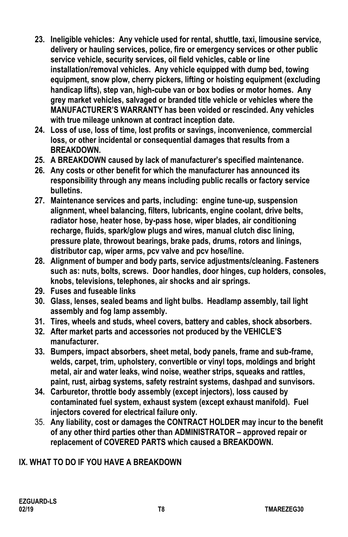- **23. Ineligible vehicles: Any vehicle used for rental, shuttle, taxi, limousine service, delivery or hauling services, police, fire or emergency services or other public service vehicle, security services, oil field vehicles, cable or line installation/removal vehicles. Any vehicle equipped with dump bed, towing equipment, snow plow, cherry pickers, lifting or hoisting equipment (excluding handicap lifts), step van, high-cube van or box bodies or motor homes. Any grey market vehicles, salvaged or branded title vehicle or vehicles where the MANUFACTURER'S WARRANTY has been voided or rescinded. Any vehicles with true mileage unknown at contract inception date.**
- **24. Loss of use, loss of time, lost profits or savings, inconvenience, commercial loss, or other incidental or consequential damages that results from a BREAKDOWN.**
- **25. A BREAKDOWN caused by lack of manufacturer's specified maintenance.**
- **26. Any costs or other benefit for which the manufacturer has announced its responsibility through any means including public recalls or factory service bulletins.**
- **27. Maintenance services and parts, including: engine tune-up, suspension alignment, wheel balancing, filters, lubricants, engine coolant, drive belts, radiator hose, heater hose, by-pass hose, wiper blades, air conditioning recharge, fluids, spark/glow plugs and wires, manual clutch disc lining, pressure plate, throwout bearings, brake pads, drums, rotors and linings, distributor cap, wiper arms, pcv valve and pcv hose/line.**
- **28. Alignment of bumper and body parts, service adjustments/cleaning. Fasteners such as: nuts, bolts, screws. Door handles, door hinges, cup holders, consoles, knobs, televisions, telephones, air shocks and air springs.**
- **29. Fuses and fuseable links**
- **30. Glass, lenses, sealed beams and light bulbs. Headlamp assembly, tail light assembly and fog lamp assembly.**
- **31. Tires, wheels and studs, wheel covers, battery and cables, shock absorbers.**
- **32. After market parts and accessories not produced by the VEHICLE'S manufacturer.**
- **33. Bumpers, impact absorbers, sheet metal, body panels, frame and sub-frame, welds, carpet, trim, upholstery, convertible or vinyl tops, moldings and bright metal, air and water leaks, wind noise, weather strips, squeaks and rattles, paint, rust, airbag systems, safety restraint systems, dashpad and sunvisors.**
- **34. Carburetor, throttle body assembly (except injectors), loss caused by contaminated fuel system, exhaust system (except exhaust manifold). Fuel injectors covered for electrical failure only.**
- 35. **Any liability, cost or damages the CONTRACT HOLDER may incur to the benefit of any other third parties other than ADMINISTRATOR – approved repair or replacement of COVERED PARTS which caused a BREAKDOWN.**

### **IX. WHAT TO DO IF YOU HAVE A BREAKDOWN**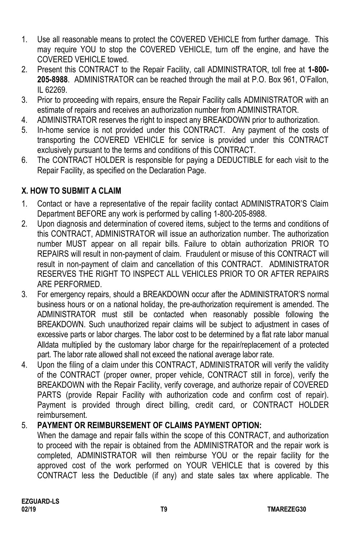- 1. Use all reasonable means to protect the COVERED VEHICLE from further damage. This may require YOU to stop the COVERED VEHICLE, turn off the engine, and have the COVERED VEHICLE towed.
- 2. Present this CONTRACT to the Repair Facility, call ADMINISTRATOR, toll free at **1-800- 205-8988**. ADMINISTRATOR can be reached through the mail at P.O. Box 961, O'Fallon, IL 62269.
- 3. Prior to proceeding with repairs, ensure the Repair Facility calls ADMINISTRATOR with an estimate of repairs and receives an authorization number from ADMINISTRATOR.
- 4. ADMINISTRATOR reserves the right to inspect any BREAKDOWN prior to authorization.
- 5. In-home service is not provided under this CONTRACT. Any payment of the costs of transporting the COVERED VEHICLE for service is provided under this CONTRACT exclusively pursuant to the terms and conditions of this CONTRACT.
- 6. The CONTRACT HOLDER is responsible for paying a DEDUCTIBLE for each visit to the Repair Facility, as specified on the Declaration Page.

# **X. HOW TO SUBMIT A CLAIM**

- 1. Contact or have a representative of the repair facility contact ADMINISTRATOR'S Claim Department BEFORE any work is performed by calling 1-800-205-8988.
- 2. Upon diagnosis and determination of covered items, subject to the terms and conditions of this CONTRACT, ADMINISTRATOR will issue an authorization number. The authorization number MUST appear on all repair bills. Failure to obtain authorization PRIOR TO REPAIRS will result in non-payment of claim. Fraudulent or misuse of this CONTRACT will result in non-payment of claim and cancellation of this CONTRACT. ADMINISTRATOR RESERVES THE RIGHT TO INSPECT ALL VEHICLES PRIOR TO OR AFTER REPAIRS ARE PERFORMED.
- 3. For emergency repairs, should a BREAKDOWN occur after the ADMINISTRATOR'S normal business hours or on a national holiday, the pre-authorization requirement is amended. The ADMINISTRATOR must still be contacted when reasonably possible following the BREAKDOWN. Such unauthorized repair claims will be subject to adjustment in cases of excessive parts or labor charges. The labor cost to be determined by a flat rate labor manual Alldata multiplied by the customary labor charge for the repair/replacement of a protected part. The labor rate allowed shall not exceed the national average labor rate.
- 4. Upon the filing of a claim under this CONTRACT, ADMINISTRATOR will verify the validity of the CONTRACT (proper owner, proper vehicle, CONTRACT still in force), verify the BREAKDOWN with the Repair Facility, verify coverage, and authorize repair of COVERED PARTS (provide Repair Facility with authorization code and confirm cost of repair). Payment is provided through direct billing, credit card, or CONTRACT HOLDER reimbursement.

### 5. **PAYMENT OR REIMBURSEMENT OF CLAIMS PAYMENT OPTION:**

When the damage and repair falls within the scope of this CONTRACT, and authorization to proceed with the repair is obtained from the ADMINISTRATOR and the repair work is completed, ADMINISTRATOR will then reimburse YOU or the repair facility for the approved cost of the work performed on YOUR VEHICLE that is covered by this CONTRACT less the Deductible (if any) and state sales tax where applicable. The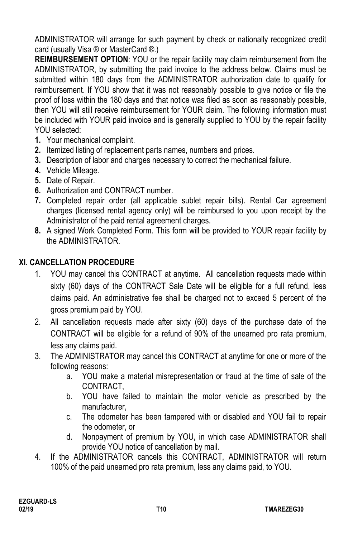ADMINISTRATOR will arrange for such payment by check or nationally recognized credit card (usually Visa ® or MasterCard ®.)

**REIMBURSEMENT OPTION**: YOU or the repair facility may claim reimbursement from the ADMINISTRATOR, by submitting the paid invoice to the address below. Claims must be submitted within 180 days from the ADMINISTRATOR authorization date to qualify for reimbursement. If YOU show that it was not reasonably possible to give notice or file the proof of loss within the 180 days and that notice was filed as soon as reasonably possible, then YOU will still receive reimbursement for YOUR claim. The following information must be included with YOUR paid invoice and is generally supplied to YOU by the repair facility YOU selected:

- **1.** Your mechanical complaint.
- **2.** Itemized listing of replacement parts names, numbers and prices.
- **3.** Description of labor and charges necessary to correct the mechanical failure.
- **4.** Vehicle Mileage.
- **5.** Date of Repair.
- **6.** Authorization and CONTRACT number.
- **7.** Completed repair order (all applicable sublet repair bills). Rental Car agreement charges (licensed rental agency only) will be reimbursed to you upon receipt by the Administrator of the paid rental agreement charges.
- **8.** A signed Work Completed Form. This form will be provided to YOUR repair facility by the ADMINISTRATOR.

# **XI. CANCELLATION PROCEDURE**

- 1. YOU may cancel this CONTRACT at anytime. All cancellation requests made within sixty (60) days of the CONTRACT Sale Date will be eligible for a full refund, less claims paid. An administrative fee shall be charged not to exceed 5 percent of the gross premium paid by YOU.
- 2. All cancellation requests made after sixty (60) days of the purchase date of the CONTRACT will be eligible for a refund of 90% of the unearned pro rata premium, less any claims paid.
- 3. The ADMINISTRATOR may cancel this CONTRACT at anytime for one or more of the following reasons:
	- a. YOU make a material misrepresentation or fraud at the time of sale of the CONTRACT,
	- b. YOU have failed to maintain the motor vehicle as prescribed by the manufacturer,
	- c. The odometer has been tampered with or disabled and YOU fail to repair the odometer, or
	- d. Nonpayment of premium by YOU, in which case ADMINISTRATOR shall provide YOU notice of cancellation by mail.
- 4. If the ADMINISTRATOR cancels this CONTRACT, ADMINISTRATOR will return 100% of the paid unearned pro rata premium, less any claims paid, to YOU.